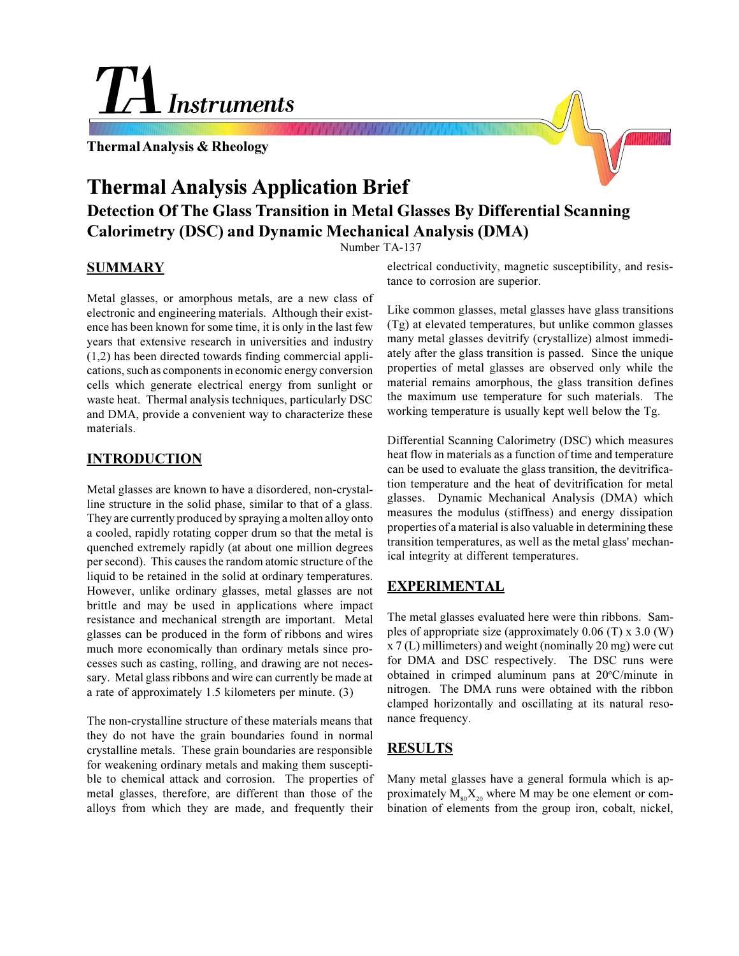# **Instruments**

**Thermal Analysis & Rheology**



## **Thermal Analysis Application Brief**

### **Detection Of The Glass Transition in Metal Glasses By Differential Scanning Calorimetry (DSC) and Dynamic Mechanical Analysis (DMA)**

Number TA-137

#### **SUMMARY**

Metal glasses, or amorphous metals, are a new class of electronic and engineering materials. Although their existence has been known for some time, it is only in the last few years that extensive research in universities and industry (1,2) has been directed towards finding commercial applications, such as components in economic energy conversion cells which generate electrical energy from sunlight or waste heat. Thermal analysis techniques, particularly DSC and DMA, provide a convenient way to characterize these materials.

#### **INTRODUCTION**

Metal glasses are known to have a disordered, non-crystalline structure in the solid phase, similar to that of a glass. They are currently produced by spraying a molten alloy onto a cooled, rapidly rotating copper drum so that the metal is quenched extremely rapidly (at about one million degrees per second). This causes the random atomic structure of the liquid to be retained in the solid at ordinary temperatures. However, unlike ordinary glasses, metal glasses are not brittle and may be used in applications where impact resistance and mechanical strength are important. Metal glasses can be produced in the form of ribbons and wires much more economically than ordinary metals since processes such as casting, rolling, and drawing are not necessary. Metal glass ribbons and wire can currently be made at a rate of approximately 1.5 kilometers per minute. (3)

The non-crystalline structure of these materials means that they do not have the grain boundaries found in normal crystalline metals. These grain boundaries are responsible for weakening ordinary metals and making them susceptible to chemical attack and corrosion. The properties of metal glasses, therefore, are different than those of the alloys from which they are made, and frequently their electrical conductivity, magnetic susceptibility, and resistance to corrosion are superior.

Like common glasses, metal glasses have glass transitions (Tg) at elevated temperatures, but unlike common glasses many metal glasses devitrify (crystallize) almost immediately after the glass transition is passed. Since the unique properties of metal glasses are observed only while the material remains amorphous, the glass transition defines the maximum use temperature for such materials. The working temperature is usually kept well below the Tg.

Differential Scanning Calorimetry (DSC) which measures heat flow in materials as a function of time and temperature can be used to evaluate the glass transition, the devitrification temperature and the heat of devitrification for metal glasses. Dynamic Mechanical Analysis (DMA) which measures the modulus (stiffness) and energy dissipation properties of a material is also valuable in determining these transition temperatures, as well as the metal glass' mechanical integrity at different temperatures.

#### **EXPERIMENTAL**

The metal glasses evaluated here were thin ribbons. Samples of appropriate size (approximately 0.06 (T) x 3.0 (W) x 7 (L) millimeters) and weight (nominally 20 mg) were cut for DMA and DSC respectively. The DSC runs were obtained in crimped aluminum pans at 20°C/minute in nitrogen. The DMA runs were obtained with the ribbon clamped horizontally and oscillating at its natural resonance frequency.

#### **RESULTS**

Many metal glasses have a general formula which is approximately  $M_{80}X_{20}$  where M may be one element or combination of elements from the group iron, cobalt, nickel,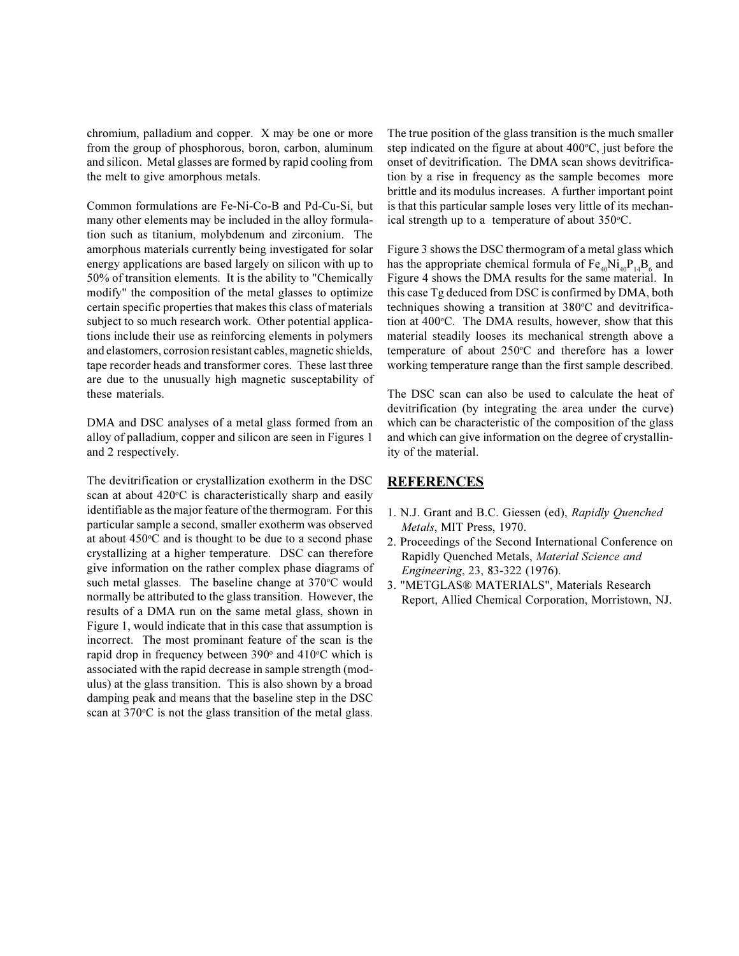chromium, palladium and copper. X may be one or more from the group of phosphorous, boron, carbon, aluminum and silicon. Metal glasses are formed by rapid cooling from the melt to give amorphous metals.

Common formulations are Fe-Ni-Co-B and Pd-Cu-Si, but many other elements may be included in the alloy formulation such as titanium, molybdenum and zirconium. The amorphous materials currently being investigated for solar energy applications are based largely on silicon with up to 50% of transition elements. It is the ability to "Chemically modify" the composition of the metal glasses to optimize certain specific properties that makes this class of materials subject to so much research work. Other potential applications include their use as reinforcing elements in polymers and elastomers, corrosion resistant cables, magnetic shields, tape recorder heads and transformer cores. These last three are due to the unusually high magnetic susceptability of these materials.

DMA and DSC analyses of a metal glass formed from an alloy of palladium, copper and silicon are seen in Figures 1 and 2 respectively.

The devitrification or crystallization exotherm in the DSC scan at about 420°C is characteristically sharp and easily identifiable as the major feature of the thermogram. For this particular sample a second, smaller exotherm was observed at about 450°C and is thought to be due to a second phase crystallizing at a higher temperature. DSC can therefore give information on the rather complex phase diagrams of such metal glasses. The baseline change at 370°C would normally be attributed to the glass transition. However, the results of a DMA run on the same metal glass, shown in Figure 1, would indicate that in this case that assumption is incorrect. The most prominant feature of the scan is the rapid drop in frequency between 390° and 410°C which is associated with the rapid decrease in sample strength (modulus) at the glass transition. This is also shown by a broad damping peak and means that the baseline step in the DSC scan at 370°C is not the glass transition of the metal glass.

The true position of the glass transition is the much smaller step indicated on the figure at about 400°C, just before the onset of devitrification. The DMA scan shows devitrification by a rise in frequency as the sample becomes more brittle and its modulus increases. A further important point is that this particular sample loses very little of its mechanical strength up to a temperature of about 350°C.

Figure 3 shows the DSC thermogram of a metal glass which has the appropriate chemical formula of  $Fe_{40}Ni_{40}P_{14}B_6$  and Figure 4 shows the DMA results for the same material. In this case Tg deduced from DSC is confirmed by DMA, both techniques showing a transition at 380°C and devitrification at 400°C. The DMA results, however, show that this material steadily looses its mechanical strength above a temperature of about 250°C and therefore has a lower working temperature range than the first sample described.

The DSC scan can also be used to calculate the heat of devitrification (by integrating the area under the curve) which can be characteristic of the composition of the glass and which can give information on the degree of crystallinity of the material.

#### **REFERENCES**

- 1. N.J. Grant and B.C. Giessen (ed), *Rapidly Quenched Metals*, MIT Press, 1970.
- 2. Proceedings of the Second International Conference on Rapidly Quenched Metals, *Material Science and Engineering*, 23, 83-322 (1976).
- 3. "METGLAS® MATERIALS", Materials Research Report, Allied Chemical Corporation, Morristown, NJ.